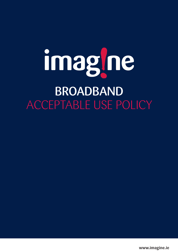# imagine BROADBANDACCEPTABLE USE POLICY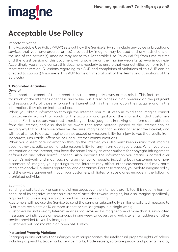

# **Acceptable Use Policy**

#### Important Notice

This Acceptable Use Policy ("AUP") sets out how the Service(s) (which include any voice or broadband services that you have ordered or use) provided by imagine may be used and any restrictions on the use of the Service(s). imagine may revise this Acceptable Use Policy ("AUP") from time to time and the latest version of this document will always be on the imagine web site at www.imagine.ie. Accordingly, you should consult this document regularly to ensure that your activities conform to the most recent version. Questions regarding this AUP and complaints of violations of this AUP can be directed to support@imagine.ie This AUP forms an integral part of the Terms and Conditions of the Service(s).

# **1. Prohibited Activities**

#### *General*

One important aspect of the Internet is that no one party owns or controls it. This fact accounts for much of the Internet's openness and value, but it also places a high premium on the judgment and responsibility of those who use the Internet both in the information they acquire and in the information, they disseminate to others.

When you obtain information through the Internet, you must keep in mind that imagine cannot monitor, verify, warrant, or vouch for the accuracy and quality of the information that customers acquire. For this reason, you must exercise your best judgment in relying on information obtained from the Internet, and also should be aware that some material posted to the Internet can be sexually explicit or otherwise offensive. Because imagine cannot monitor or censor the Internet, and will not attempt to do so, imagine cannot accept any responsibility for injury to you that results from inaccurate, unsuitable, offensive, or illegal Internet communications.

When you disseminate information through the Internet, you also must keep in mind that imagine does not review, edit, censor, or take responsibility for any information you create. When you place information on the Internet, you have the same liability as other authors for copyright infringement, defamation and other harmful speech. Also, because the information you create is carried over imagine's network and may reach a large number of people, including both customers and noncustomers of imagine, your postings to the Internet may affect other customers and may harm imagine's goodwill, business reputation, and operations. For these reasons, you violate imagine policy and the service agreement if you, your customers, affiliates, or subsidiaries engage in the following prohibited activities:

#### *Spamming*

Sending unsolicited bulk or commercial messages over the Internet is prohibited. It is not only harmful because of its negative impact on customers' attitudes toward imagine, but also imagine specifically requires that, unless expressly approved by imagine in writing

•customers will not use the Service to send the same or substantially similar unsolicited message to 10 or more recipients or 10 or more usenet or similar groups in a single week;

•customers will not use any Internet services not provided by imagine to send more than 10 unsolicited messages to individuals or newsgroups in one week to advertise a web site, email address or other service provided to you by imagine;

•customers will not maintain an open SMTP relay.

#### *Intellectual Property Violations*

Engaging in any activity that infringes or misappropriates the intellectual property rights of others, including copyrights, trademarks, service marks, trade secrets, software piracy, and patents held by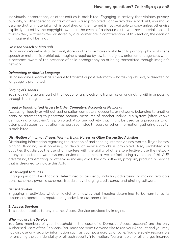### **Have any questions? Call: 1890 929 008**

individuals, corporations, or other entities is prohibited. Engaging in activity that violates privacy, publicity, or other personal rights of others is also prohibited. For the avoidance of doubt, you should assume that all material which is published on the Internet is not available to copy unless otherwise explicitly stated by the copyright owner. In the event of a dispute as to whether materials posted, transmitted, re-transmitted or stored by a customer are in contravention of this section, the decision of imagine shall be final.

#### *Obscene Speech or Materials*

Using imagine's network to transmit, store, or otherwise make available child pornography or obscene speech or material is prohibited. imagine is required by law to notify law enforcement agencies when it becomes aware of the presence of child pornography on or being transmitted through imagine's network.

#### *Defamatory or Abusive Language*

Using imagine's network as a means to transmit or post defamatory, harassing, abusive, or threatening language is prohibited.

#### *Forging of Headers*

You may not forge any part of the header of any electronic transmission originating within or passing through the imagine network.

#### *Illegal or Unauthorised Access to Other Computers, Accounts or Networks*

Accessing illegally or without authorisation computers, accounts, or networks belonging to another party or attempting to penetrate security measures of another individual's system (often known as "hacking or cracking") is prohibited. Also, any activity that might be used as a precursor to an attempted system penetration (i.e. port scan, stealth scan, or other information gathering activity) is prohibited.

#### *Distribution of Internet Viruses, Worms, Trojan Horses, or Other Destructive Activities*

Distributing information regarding the creation of and sending Internet viruses, worms, Trojan horses, pinging, flooding, mail bombing, or denial of service attacks is prohibited. Also, prohibited are activities that disrupt the use of or interfere with the ability of others to effectively use the network or any connected network, system, service, or equipment as well as facilitating a violation of this AUP, advertising, transmitting, or otherwise making available any software, program, product, or service that is designed to violate this AUP.

#### *Other Illegal Activities*

Engaging in activities that are determined to be illegal, including advertising or making available ponzi schemes, pyramid schemes, fraudulently charging credit cards, and pirating software.

#### *Other Activities*

Engaging in activities, whether lawful or unlawful, that imagine determines to be harmful to its customers, operations, reputation, goodwill, or customer relations.

#### **2. Access Services**

This section applies to any Internet Access Service provided by imagine.

#### *Who may use the Service*

You (and members of your household in the case of a Domestic Access account) are the only Authorised Users of the Service(s). You must not permit anyone else to use your Account and you may not disclose any security information such as your password to anyone. You are solely responsible for ensuring the confidentiality of all such security information. You are liable for all charges incurred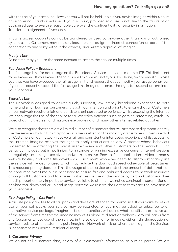## **Have any questions? Call: 1890 929 008**

with the use of your account. However, you will not be held liable if you advise imagine within 4 hours of discovering unauthorised use of your account, provided said use is not due to the failure of an authorised user to exercise reasonable care over the confidentiality of security information. Transfer or assignment of Accounts

imagine access accounts cannot be transferred or used by anyone other than you or authorised system users. Customers may not sell, lease, rent or assign an Internet connection or parts of the connection to any party without the express, prior written approval of imagine.

#### *Multiple Use*

At no time may you use the same account to access the service multiple times.

#### *Fair Usage Policy – Broadband*

The fair usage limit for data usage on the Broadband Service in any one month is 1TB. This limit is not to be exceeded. If you exceed the fair usage limit, we will notify you by phone, text or email to advise you that you have exceeded the fair usage limit and request that you modify your usage behaviour. If you subsequently exceed the fair usage limit Imagine reserves the right to suspend or terminate your Service(s).

#### *Excessive Use*

The Network is designed to deliver a rich, superfast, low latency broadband experience to both home and small business Customers. It is both our intention and priority to ensure that all Customers on our network receive a fair and consistent uninterrupted experience whilst accessing the internet. We encourage the use of the service for all everyday activities such as gaming, streaming, catch-up, video chat, multi-screen and multi-device browsing and many other internet related activities.

We also recognise that there are a limited number of customers that will attempt to disproportionately use the service which in turn may have an adverse effect on the majority of Customers. To ensure that all Customers on our network receive a fair and consistent uninterrupted experience whilst accessing the internet, imagine reserves the right to apply restrictions on any Customer whose behaviour is deemed to be affecting the overall user experience of other Customers on the network. Such behaviour includes, but is not limited to, instances of running excessive concurrent internet sessions or regularly accessing excessive bandwidth intensive Peer-to-Peer applications, video streams, website hosting and large file downloads. Customer's whom we deem to disproportionately use the service will be deprioritised which may reduce the download speed achievable at peak times. This reduced priority does not limit the usage of the service or restrict the amount of data that can be consumed over time but is necessary to ensure fair and balanced access to network resources amongst all Customers and to ensure that excessive use of the service by certain Customers does not disproportionately impact the service available to others. If we notice continual, disproportionate or abnormal download or upload usage patterns we reserve the right to terminate the provision of your Service(s).

#### *Fair Usage Policy – Call Packs*

A fair use policy applies to all call packs and these are intended for normal use. If you make excessive use of your call packs your service may be restricted, or you may be asked to subscribe to an alternative service package. imagine, in its sole discretion, will define what constitutes excessive use of the service from time to time. imagine may at its absolute discretion withdraw any call packs from any Customer whose use of the service, in the sole opinion of imagine, either risks degradation of service levels to other customers, puts imagine's Network at risk or where the usage of the Services is inconsistent with normal residential usage.

#### **3. Customer Privacy**

We do not sell customers data, or any of our customer's information, to outside parties. We are